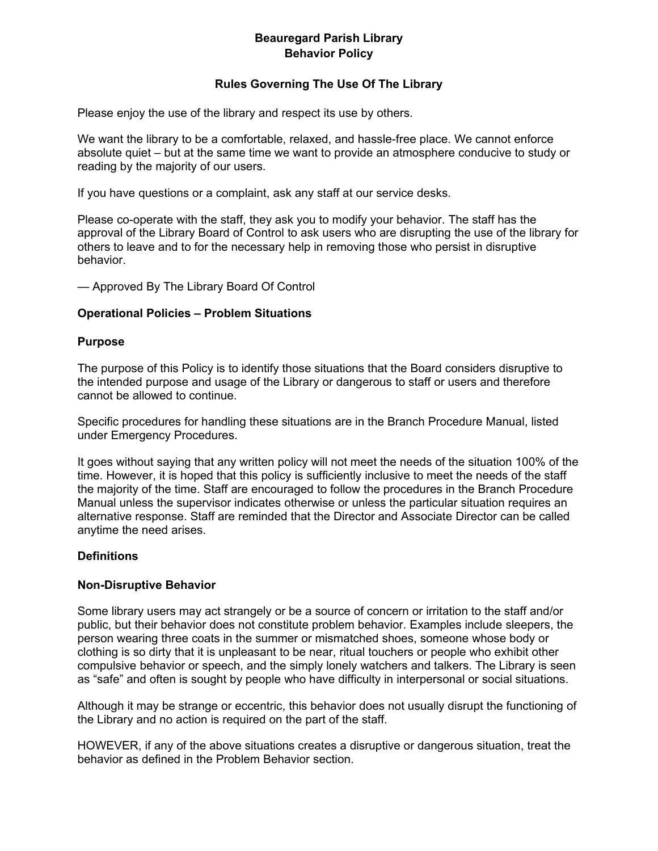# **Beauregard Parish Library Behavior Policy**

### **Rules Governing The Use Of The Library**

Please enjoy the use of the library and respect its use by others.

We want the library to be a comfortable, relaxed, and hassle-free place. We cannot enforce absolute quiet – but at the same time we want to provide an atmosphere conducive to study or reading by the majority of our users.

If you have questions or a complaint, ask any staff at our service desks.

Please co-operate with the staff, they ask you to modify your behavior. The staff has the approval of the Library Board of Control to ask users who are disrupting the use of the library for others to leave and to for the necessary help in removing those who persist in disruptive behavior.

— Approved By The Library Board Of Control

### **Operational Policies – Problem Situations**

#### **Purpose**

The purpose of this Policy is to identify those situations that the Board considers disruptive to the intended purpose and usage of the Library or dangerous to staff or users and therefore cannot be allowed to continue.

Specific procedures for handling these situations are in the Branch Procedure Manual, listed under Emergency Procedures.

It goes without saying that any written policy will not meet the needs of the situation 100% of the time. However, it is hoped that this policy is sufficiently inclusive to meet the needs of the staff the majority of the time. Staff are encouraged to follow the procedures in the Branch Procedure Manual unless the supervisor indicates otherwise or unless the particular situation requires an alternative response. Staff are reminded that the Director and Associate Director can be called anytime the need arises.

### **Definitions**

### **Non-Disruptive Behavior**

Some library users may act strangely or be a source of concern or irritation to the staff and/or public, but their behavior does not constitute problem behavior. Examples include sleepers, the person wearing three coats in the summer or mismatched shoes, someone whose body or clothing is so dirty that it is unpleasant to be near, ritual touchers or people who exhibit other compulsive behavior or speech, and the simply lonely watchers and talkers. The Library is seen as "safe" and often is sought by people who have difficulty in interpersonal or social situations.

Although it may be strange or eccentric, this behavior does not usually disrupt the functioning of the Library and no action is required on the part of the staff.

HOWEVER, if any of the above situations creates a disruptive or dangerous situation, treat the behavior as defined in the Problem Behavior section.